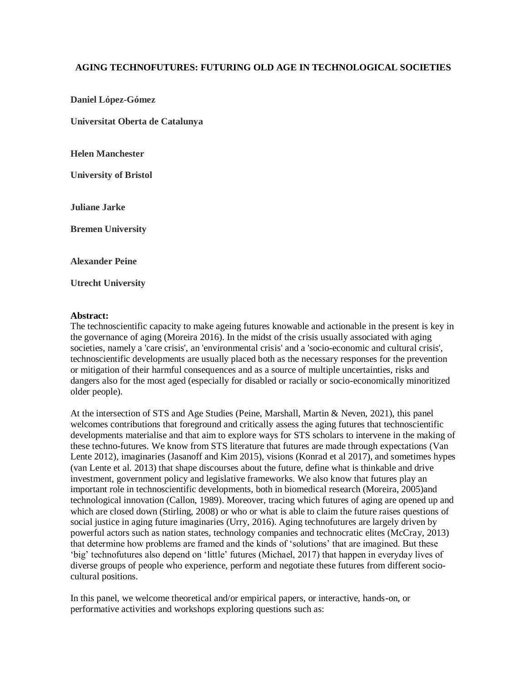## **AGING TECHNOFUTURES: FUTURING OLD AGE IN TECHNOLOGICAL SOCIETIES**

**Daniel López-Gómez**

**Universitat Oberta de Catalunya**

**Helen Manchester**

**University of Bristol**

**Juliane Jarke**

**Bremen University**

**Alexander Peine**

**Utrecht University**

## **Abstract:**

The technoscientific capacity to make ageing futures knowable and actionable in the present is key in the governance of aging (Moreira 2016). In the midst of the crisis usually associated with aging societies, namely a 'care crisis', an 'environmental crisis' and a 'socio-economic and cultural crisis', technoscientific developments are usually placed both as the necessary responses for the prevention or mitigation of their harmful consequences and as a source of multiple uncertainties, risks and dangers also for the most aged (especially for disabled or racially or socio-economically minoritized older people).

At the intersection of STS and Age Studies (Peine, Marshall, Martin & Neven, 2021), this panel welcomes contributions that foreground and critically assess the aging futures that technoscientific developments materialise and that aim to explore ways for STS scholars to intervene in the making of these techno-futures. We know from STS literature that futures are made through expectations (Van Lente 2012), imaginaries (Jasanoff and Kim 2015), visions (Konrad et al 2017), and sometimes hypes (van Lente et al. 2013) that shape discourses about the future, define what is thinkable and drive investment, government policy and legislative frameworks. We also know that futures play an important role in technoscientific developments, both in biomedical research (Moreira, 2005)and technological innovation (Callon, 1989). Moreover, tracing which futures of aging are opened up and which are closed down (Stirling, 2008) or who or what is able to claim the future raises questions of social justice in aging future imaginaries (Urry, 2016). Aging technofutures are largely driven by powerful actors such as nation states, technology companies and technocratic elites (McCray, 2013) that determine how problems are framed and the kinds of 'solutions' that are imagined. But these 'big' technofutures also depend on 'little' futures (Michael, 2017) that happen in everyday lives of diverse groups of people who experience, perform and negotiate these futures from different sociocultural positions.

In this panel, we welcome theoretical and/or empirical papers, or interactive, hands-on, or performative activities and workshops exploring questions such as: